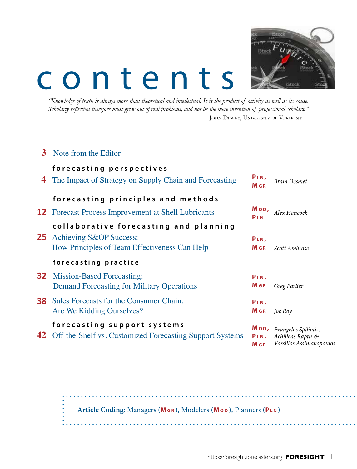# contents



*"Knowledge of truth is always more than theoretical and intellectual. It is the product of activity as well as its cause. Scholarly reflection therefore must grow out of real problems, and not be the mere invention of professional scholars."* JOHN DEWEY, UNIVERSITY OF VERMONT

| 3  | Note from the Editor                                                                                               |                                        |                                                                        |
|----|--------------------------------------------------------------------------------------------------------------------|----------------------------------------|------------------------------------------------------------------------|
| 4  | forecasting perspectives<br>The Impact of Strategy on Supply Chain and Forecasting                                 | PLN,<br>$M$ G R                        | <b>Bram Desmet</b>                                                     |
|    | forecasting principles and methods                                                                                 |                                        |                                                                        |
|    | <b>12</b> Forecast Process Improvement at Shell Lubricants                                                         | Mop,<br>PLN                            | Alex Hancock                                                           |
| 25 | collaborative forecasting and planning<br>Achieving S&OP Success:<br>How Principles of Team Effectiveness Can Help | PLN,<br><b>M</b> GR                    | Scott Ambrose                                                          |
|    | forecasting practice                                                                                               |                                        |                                                                        |
| 32 | <b>Mission-Based Forecasting:</b><br><b>Demand Forecasting for Military Operations</b>                             | PLN,<br>Mgr                            | Greg Parlier                                                           |
| 38 | Sales Forecasts for the Consumer Chain:<br>Are We Kidding Ourselves?                                               | PLN,<br><b>M</b> <sub>GR</sub>         | Joe Roy                                                                |
|    | forecasting support systems<br><b>42</b> Off-the-Shelf vs. Customized Forecasting Support Systems                  | Mop,<br>PLN,<br><b>M</b> <sub>GR</sub> | Evangelos Spiliotis,<br>Achilleas Raptis &<br>Vassilios Assimakopoulos |

**Article Coding**: Managers (**Mg r** ), Modelers (**Mo d** ), Planners (**Pl n** )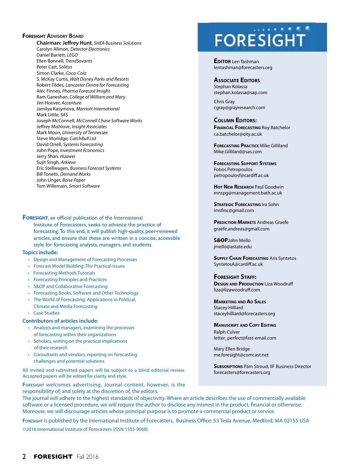### **FORESIGHT ADVISORY BOARD**

**Chairman: Jeffrey Hunt**, *SHEA Business Solutions* Carolyn Allmon, *Detector Electronics* Daniel Barrett, *LEGO* Ellen Bonnell, *TrendSavants*  Peter Catt, *Solitus* Simon Clarke, *Coca-Cola* S. McKay Curtis, *Walt Disney Parks and Resorts*  Robert Fildes, *Lancaster Centre for Forecasting* Alec Finney, *Pharma Forecast Insight* Ram Ganeshan, *College of William and Mary* Jim Hoover, *Accenture* Jamilya Kasymova, *Marriott International* Mark Little, *SAS* Joseph McConnell, *McConnell Chase Software Works* Jeffrey Mishlove, *Insight Associates*  Mark Moon, *University of Tennessee*  Steve Morlidge, *CatchBull Ltd* David Orrell, *Systems Forecasting* John Pope, *Investment Economics* Jerry Shan, *Huawei* Sujit Singh, *Arkieva* Eric Stellwagen, *Business Forecast Systems* Bill Tonetti, *Demand Works* John Unger, *Boise Paper* Tom Willemain, *Smart Software*

**Foresight**, an official publication of the International Institute of Forecasters, seeks to advance the practice of forecasting. To this end, it will publish high-quality, peer-reviewed articles, and ensure that these are written in a concise, accessible style for forecasting analysts, managers, and students.

### **Topics include:**

- Design and Management of Forecasting Processes
- Forecast Model Building: The Practical Issues
- Forecasting Methods Tutorials
- Forecasting Principles and Practices
- S&OP and Collaborative Forecasting
- Forecasting Books, Software and Other Technology
- The World of Forecasting: Applications in Political, Climate and Media Forecasting • Case Studies
- 

### **Contributors of articles include:**

- Analysts and managers, examining the processes of forecasting within their organizations
- Scholars, writing on the practical implications of their research
- Consultants and vendors, reporting on forecasting challenges and potential solutions

All invited and submitted papers will be subject to a blind editorial review. Accepted papers will be edited for clarity and style.

**Foresight** welcomes advertising. Journal content, however, is the responsibility of, and solely at the discretion of, the editors.

## **FORESIGHT**

**EDITOR** Len Tashman lentashman@forecasters.org

#### **Associate Editors**

Stephan Kolassa stephan.kolassa@sap.com

Chris Gray cgray@grayresearch.com

### **Column Editors:**

**Financial Forecasting** Roy Batchelor r.a.batchelor@city.ac.uk

**FORECASTING PRACTICE Mike Gilliland** Mike.Gilliland@sas.com

**Forecasting Support Systems** Fotios Petropoulos petropoulosf@cardiff.ac.uk

**Hot New Research** Paul Goodwin mnspg@management.bath.ac.uk

**STRATEGIC FORECASTING** Ira Sohn imsfinc@gmail.com

**PREDICTION MARKETS** Andreas Graefe graefe.andreas@gmail.com

**S&OP**John Mello jmello@astate.edu

**Supply Chain Forecasting** Aris Syntetos SyntetosA@cardiff.ac.uk

**Foresight Staff: DESIGN AND PRODUCTION** Liza Woodruff liza@lizawoodruff.com

**Marketing and Ad Sales** Stacey Hilliard staceyhilliard@forecasters.org

**Manuscript and Copy Editing** Ralph Culver letter\_perfect@fast-email.com

Mary Ellen Bridge me.foresight@comcast.net

**SUBSCRIPTIONS** Pam Stroud, IIF Business Director forecasters@forecasters.org

The journal will adhere to the highest standards of objectivity. Where an article describes the use of commercially available software or a licensed procedure, we will require the author to disclose any interest in the product, financial or otherwise. Moreover, we will discourage articles whose principal purpose is to promote a commercial product or service.

**Foresight** is published by the International Institute of Forecasters, Business Office: 53 Tesla Avenue, Medford, MA 02155 USA ©2016 International Institute of Forecasters (ISSN 1555-9068)